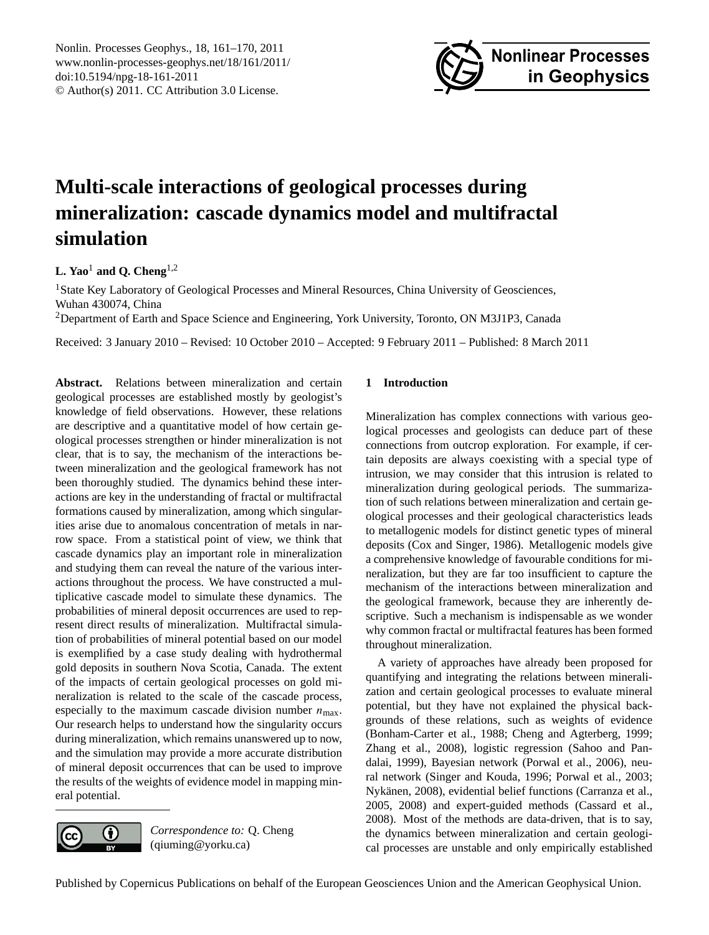

# <span id="page-0-0"></span>**Multi-scale interactions of geological processes during mineralization: cascade dynamics model and multifractal simulation**

# **L. Yao**<sup>1</sup> **and Q. Cheng**1,2

<sup>1</sup>State Key Laboratory of Geological Processes and Mineral Resources, China University of Geosciences, Wuhan 430074, China

<sup>2</sup>Department of Earth and Space Science and Engineering, York University, Toronto, ON M3J1P3, Canada

Received: 3 January 2010 – Revised: 10 October 2010 – Accepted: 9 February 2011 – Published: 8 March 2011

**Abstract.** Relations between mineralization and certain geological processes are established mostly by geologist's knowledge of field observations. However, these relations are descriptive and a quantitative model of how certain geological processes strengthen or hinder mineralization is not clear, that is to say, the mechanism of the interactions between mineralization and the geological framework has not been thoroughly studied. The dynamics behind these interactions are key in the understanding of fractal or multifractal formations caused by mineralization, among which singularities arise due to anomalous concentration of metals in narrow space. From a statistical point of view, we think that cascade dynamics play an important role in mineralization and studying them can reveal the nature of the various interactions throughout the process. We have constructed a multiplicative cascade model to simulate these dynamics. The probabilities of mineral deposit occurrences are used to represent direct results of mineralization. Multifractal simulation of probabilities of mineral potential based on our model is exemplified by a case study dealing with hydrothermal gold deposits in southern Nova Scotia, Canada. The extent of the impacts of certain geological processes on gold mineralization is related to the scale of the cascade process, especially to the maximum cascade division number  $n_{\text{max}}$ . Our research helps to understand how the singularity occurs during mineralization, which remains unanswered up to now, and the simulation may provide a more accurate distribution of mineral deposit occurrences that can be used to improve the results of the weights of evidence model in mapping mineral potential.

# **1 Introduction**

Mineralization has complex connections with various geological processes and geologists can deduce part of these connections from outcrop exploration. For example, if certain deposits are always coexisting with a special type of intrusion, we may consider that this intrusion is related to mineralization during geological periods. The summarization of such relations between mineralization and certain geological processes and their geological characteristics leads to metallogenic models for distinct genetic types of mineral deposits [\(Cox and Singer,](#page-8-0) [1986\)](#page-8-0). Metallogenic models give a comprehensive knowledge of favourable conditions for mineralization, but they are far too insufficient to capture the mechanism of the interactions between mineralization and the geological framework, because they are inherently descriptive. Such a mechanism is indispensable as we wonder why common fractal or multifractal features has been formed throughout mineralization.

A variety of approaches have already been proposed for quantifying and integrating the relations between mineralization and certain geological processes to evaluate mineral potential, but they have not explained the physical backgrounds of these relations, such as weights of evidence [\(Bonham-Carter et al.,](#page-8-1) [1988;](#page-8-1) [Cheng and Agterberg,](#page-8-2) [1999;](#page-8-2) [Zhang et al.,](#page-9-0) [2008\)](#page-9-0), logistic regression [\(Sahoo and Pan](#page-9-1)[dalai,](#page-9-1) [1999\)](#page-9-1), Bayesian network [\(Porwal et al.,](#page-9-2) [2006\)](#page-9-2), neural network [\(Singer and Kouda,](#page-9-3) [1996;](#page-9-3) [Porwal et al.,](#page-9-4) [2003;](#page-9-4) Nykänen, [2008\)](#page-9-5), evidential belief functions [\(Carranza et al.,](#page-8-3) [2005,](#page-8-3) [2008\)](#page-8-4) and expert-guided methods [\(Cassard et al.,](#page-8-5) [2008\)](#page-8-5). Most of the methods are data-driven, that is to say, the dynamics between mineralization and certain geological processes are unstable and only empirically established

*Correspondence to:* Q. Cheng

(qiuming@yorku.ca)

 $\left( \cdot \right)$ 

(cc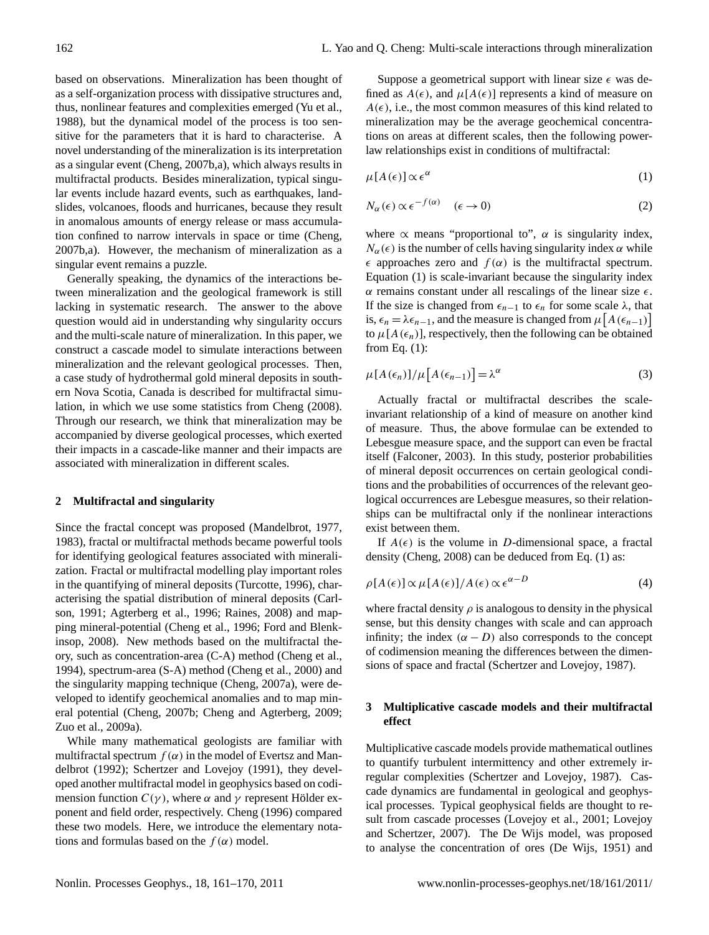based on observations. Mineralization has been thought of as a self-organization process with dissipative structures and, thus, nonlinear features and complexities emerged [\(Yu et al.,](#page-9-6) [1988\)](#page-9-6), but the dynamical model of the process is too sensitive for the parameters that it is hard to characterise. A novel understanding of the mineralization is its interpretation as a singular event [\(Cheng,](#page-8-6) [2007b,](#page-8-6)[a\)](#page-8-7), which always results in multifractal products. Besides mineralization, typical singular events include hazard events, such as earthquakes, landslides, volcanoes, floods and hurricanes, because they result in anomalous amounts of energy release or mass accumulation confined to narrow intervals in space or time [\(Cheng,](#page-8-6) [2007b](#page-8-6)[,a\)](#page-8-7). However, the mechanism of mineralization as a singular event remains a puzzle.

Generally speaking, the dynamics of the interactions between mineralization and the geological framework is still lacking in systematic research. The answer to the above question would aid in understanding why singularity occurs and the multi-scale nature of mineralization. In this paper, we construct a cascade model to simulate interactions between mineralization and the relevant geological processes. Then, a case study of hydrothermal gold mineral deposits in southern Nova Scotia, Canada is described for multifractal simulation, in which we use some statistics from [Cheng](#page-8-8) [\(2008\)](#page-8-8). Through our research, we think that mineralization may be accompanied by diverse geological processes, which exerted their impacts in a cascade-like manner and their impacts are associated with mineralization in different scales.

#### **2 Multifractal and singularity**

Since the fractal concept was proposed [\(Mandelbrot,](#page-9-7) [1977,](#page-9-7) [1983\)](#page-9-8), fractal or multifractal methods became powerful tools for identifying geological features associated with mineralization. Fractal or multifractal modelling play important roles in the quantifying of mineral deposits [\(Turcotte,](#page-9-9) [1996\)](#page-9-9), characterising the spatial distribution of mineral deposits [\(Carl](#page-8-9)[son,](#page-8-9) [1991;](#page-8-9) [Agterberg et al.,](#page-8-10) [1996;](#page-8-10) [Raines,](#page-9-10) [2008\)](#page-9-10) and mapping mineral-potential [\(Cheng et al.,](#page-8-11) [1996;](#page-8-11) [Ford and Blenk](#page-8-12)[insop,](#page-8-12) [2008\)](#page-8-12). New methods based on the multifractal theory, such as concentration-area (C-A) method [\(Cheng et al.,](#page-8-13) [1994\)](#page-8-13), spectrum-area (S-A) method [\(Cheng et al.,](#page-8-14) [2000\)](#page-8-14) and the singularity mapping technique [\(Cheng,](#page-8-7) [2007a\)](#page-8-7), were developed to identify geochemical anomalies and to map mineral potential [\(Cheng,](#page-8-6) [2007b;](#page-8-6) [Cheng and Agterberg,](#page-8-15) [2009;](#page-8-15) [Zuo et al.,](#page-9-11) [2009a\)](#page-9-11).

While many mathematical geologists are familiar with multifractal spectrum  $f(\alpha)$  in the model of [Evertsz and Man](#page-8-16)[delbrot](#page-8-16) [\(1992\)](#page-8-16); [Schertzer and Lovejoy](#page-9-12) [\(1991\)](#page-9-12), they developed another multifractal model in geophysics based on codimension function  $C(\gamma)$ , where  $\alpha$  and  $\gamma$  represent Hölder exponent and field order, respectively. [Cheng](#page-8-17) [\(1996\)](#page-8-17) compared these two models. Here, we introduce the elementary notations and formulas based on the  $f(\alpha)$  model.

Suppose a geometrical support with linear size  $\epsilon$  was defined as  $A(\epsilon)$ , and  $\mu[A(\epsilon)]$  represents a kind of measure on  $A(\epsilon)$ , i.e., the most common measures of this kind related to mineralization may be the average geochemical concentrations on areas at different scales, then the following powerlaw relationships exist in conditions of multifractal:

<span id="page-1-0"></span>
$$
\mu[A(\epsilon)] \propto \epsilon^{\alpha} \tag{1}
$$

$$
N_{\alpha}(\epsilon) \propto \epsilon^{-f(\alpha)} \quad (\epsilon \to 0)
$$
 (2)

where  $\alpha$  means "proportional to",  $\alpha$  is singularity index,  $N_{\alpha}(\epsilon)$  is the number of cells having singularity index  $\alpha$  while  $\epsilon$  approaches zero and  $f(\alpha)$  is the multifractal spectrum. Equation [\(1\)](#page-1-0) is scale-invariant because the singularity index  $\alpha$  remains constant under all rescalings of the linear size  $\epsilon$ . If the size is changed from  $\epsilon_{n-1}$  to  $\epsilon_n$  for some scale  $\lambda$ , that is,  $\epsilon_n = \lambda \epsilon_{n-1}$ , and the measure is changed from  $\mu\left[A(\epsilon_{n-1})\right]$ to  $\mu[A(\epsilon_n)]$ , respectively, then the following can be obtained from Eq. [\(1\)](#page-1-0):

<span id="page-1-1"></span>
$$
\mu[A(\epsilon_n)]/\mu[A(\epsilon_{n-1})] = \lambda^{\alpha} \tag{3}
$$

Actually fractal or multifractal describes the scaleinvariant relationship of a kind of measure on another kind of measure. Thus, the above formulae can be extended to Lebesgue measure space, and the support can even be fractal itself [\(Falconer,](#page-8-18) [2003\)](#page-8-18). In this study, posterior probabilities of mineral deposit occurrences on certain geological conditions and the probabilities of occurrences of the relevant geological occurrences are Lebesgue measures, so their relationships can be multifractal only if the nonlinear interactions exist between them.

If  $A(\epsilon)$  is the volume in D-dimensional space, a fractal density [\(Cheng,](#page-8-8) [2008\)](#page-8-8) can be deduced from Eq. [\(1\)](#page-1-0) as:

$$
\rho[A(\epsilon)] \propto \mu[A(\epsilon)]/A(\epsilon) \propto \epsilon^{\alpha - D} \tag{4}
$$

where fractal density  $\rho$  is analogous to density in the physical sense, but this density changes with scale and can approach infinity; the index  $(\alpha - D)$  also corresponds to the concept of codimension meaning the differences between the dimensions of space and fractal [\(Schertzer and Lovejoy,](#page-9-13) [1987\)](#page-9-13).

### **3 Multiplicative cascade models and their multifractal effect**

Multiplicative cascade models provide mathematical outlines to quantify turbulent intermittency and other extremely irregular complexities [\(Schertzer and Lovejoy,](#page-9-13) [1987\)](#page-9-13). Cascade dynamics are fundamental in geological and geophysical processes. Typical geophysical fields are thought to result from cascade processes [\(Lovejoy et al.,](#page-9-14) [2001;](#page-9-14) [Lovejoy](#page-8-19) [and Schertzer,](#page-8-19) [2007\)](#page-8-19). The De Wijs model, was proposed to analyse the concentration of ores [\(De Wijs,](#page-8-20) [1951\)](#page-8-20) and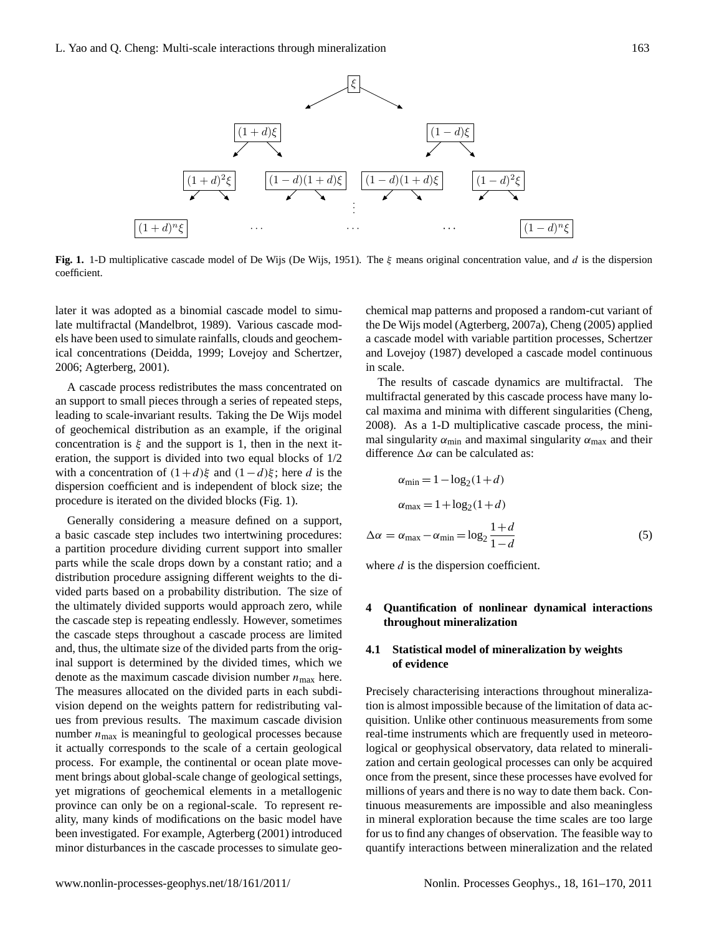

<span id="page-2-0"></span>**Fig. 1.** 1-D multiplicative cascade model of De Wijs [\(De Wijs,](#page-8-20) [1951\)](#page-8-20). The ξ means original concentration value, and d is the dispersion coefficient.

later it was adopted as a binomial cascade model to simulate multifractal [\(Mandelbrot,](#page-9-15) [1989\)](#page-9-15). Various cascade models have been used to simulate rainfalls, clouds and geochemical concentrations [\(Deidda,](#page-8-21) [1999;](#page-8-21) [Lovejoy and Schertzer,](#page-8-22) [2006;](#page-8-22) [Agterberg,](#page-8-23) [2001\)](#page-8-23).

A cascade process redistributes the mass concentrated on an support to small pieces through a series of repeated steps, leading to scale-invariant results. Taking the De Wijs model of geochemical distribution as an example, if the original concentration is  $\xi$  and the support is 1, then in the next iteration, the support is divided into two equal blocks of 1/2 with a concentration of  $(1+d)\xi$  and  $(1-d)\xi$ ; here d is the dispersion coefficient and is independent of block size; the procedure is iterated on the divided blocks (Fig. [1\)](#page-2-0).

Generally considering a measure defined on a support, a basic cascade step includes two intertwining procedures: a partition procedure dividing current support into smaller parts while the scale drops down by a constant ratio; and a distribution procedure assigning different weights to the divided parts based on a probability distribution. The size of the ultimately divided supports would approach zero, while the cascade step is repeating endlessly. However, sometimes the cascade steps throughout a cascade process are limited and, thus, the ultimate size of the divided parts from the original support is determined by the divided times, which we denote as the maximum cascade division number  $n_{\text{max}}$  here. The measures allocated on the divided parts in each subdivision depend on the weights pattern for redistributing values from previous results. The maximum cascade division number  $n_{\text{max}}$  is meaningful to geological processes because it actually corresponds to the scale of a certain geological process. For example, the continental or ocean plate movement brings about global-scale change of geological settings, yet migrations of geochemical elements in a metallogenic province can only be on a regional-scale. To represent reality, many kinds of modifications on the basic model have been investigated. For example, [Agterberg](#page-8-23) [\(2001\)](#page-8-23) introduced minor disturbances in the cascade processes to simulate geo-

chemical map patterns and proposed a random-cut variant of the De Wijs model [\(Agterberg,](#page-8-24) [2007a\)](#page-8-24), [Cheng](#page-8-25) [\(2005\)](#page-8-25) applied a cascade model with variable partition processes, [Schertzer](#page-9-13) [and Lovejoy](#page-9-13) [\(1987\)](#page-9-13) developed a cascade model continuous in scale.

The results of cascade dynamics are multifractal. The multifractal generated by this cascade process have many local maxima and minima with different singularities [\(Cheng,](#page-8-8) [2008\)](#page-8-8). As a 1-D multiplicative cascade process, the minimal singularity  $\alpha_{\min}$  and maximal singularity  $\alpha_{\max}$  and their difference  $\Delta \alpha$  can be calculated as:

$$
\alpha_{\min} = 1 - \log_2(1 + d)
$$

$$
\alpha_{\max} = 1 + \log_2(1 + d)
$$

$$
\Delta \alpha = \alpha_{\max} - \alpha_{\min} = \log_2 \frac{1 + d}{1 - d}
$$
(5)

where  $d$  is the dispersion coefficient.

#### **4 Quantification of nonlinear dynamical interactions throughout mineralization**

#### **4.1 Statistical model of mineralization by weights of evidence**

Precisely characterising interactions throughout mineralization is almost impossible because of the limitation of data acquisition. Unlike other continuous measurements from some real-time instruments which are frequently used in meteorological or geophysical observatory, data related to mineralization and certain geological processes can only be acquired once from the present, since these processes have evolved for millions of years and there is no way to date them back. Continuous measurements are impossible and also meaningless in mineral exploration because the time scales are too large for us to find any changes of observation. The feasible way to quantify interactions between mineralization and the related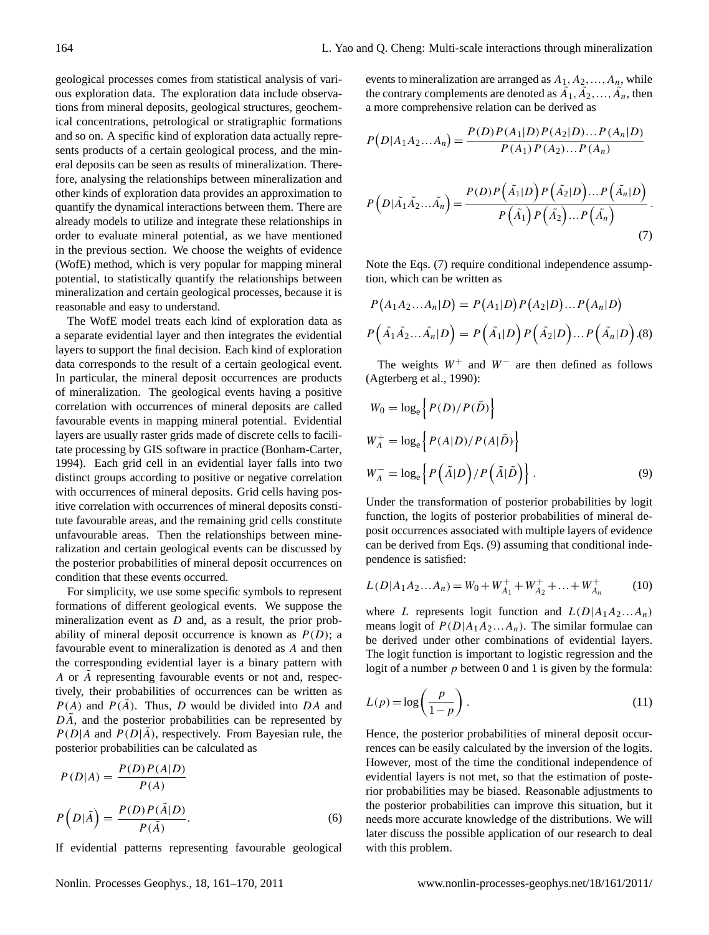geological processes comes from statistical analysis of various exploration data. The exploration data include observations from mineral deposits, geological structures, geochemical concentrations, petrological or stratigraphic formations and so on. A specific kind of exploration data actually represents products of a certain geological process, and the mineral deposits can be seen as results of mineralization. Therefore, analysing the relationships between mineralization and other kinds of exploration data provides an approximation to quantify the dynamical interactions between them. There are already models to utilize and integrate these relationships in order to evaluate mineral potential, as we have mentioned in the previous section. We choose the weights of evidence (WofE) method, which is very popular for mapping mineral potential, to statistically quantify the relationships between mineralization and certain geological processes, because it is reasonable and easy to understand.

The WofE model treats each kind of exploration data as a separate evidential layer and then integrates the evidential layers to support the final decision. Each kind of exploration data corresponds to the result of a certain geological event. In particular, the mineral deposit occurrences are products of mineralization. The geological events having a positive correlation with occurrences of mineral deposits are called favourable events in mapping mineral potential. Evidential layers are usually raster grids made of discrete cells to facilitate processing by GIS software in practice [\(Bonham-Carter,](#page-8-26) [1994\)](#page-8-26). Each grid cell in an evidential layer falls into two distinct groups according to positive or negative correlation with occurrences of mineral deposits. Grid cells having positive correlation with occurrences of mineral deposits constitute favourable areas, and the remaining grid cells constitute unfavourable areas. Then the relationships between mineralization and certain geological events can be discussed by the posterior probabilities of mineral deposit occurrences on condition that these events occurred.

For simplicity, we use some specific symbols to represent formations of different geological events. We suppose the mineralization event as D and, as a result, the prior probability of mineral deposit occurrence is known as  $P(D)$ ; a favourable event to mineralization is denoted as A and then the corresponding evidential layer is a binary pattern with A or  $\tilde{A}$  representing favourable events or not and, respectively, their probabilities of occurrences can be written as  $P(A)$  and  $P(A)$ . Thus, D would be divided into DA and  $D\overline{A}$ , and the posterior probabilities can be represented by  $P(D|A \text{ and } P(D|\overline{A})$ , respectively. From Bayesian rule, the posterior probabilities can be calculated as

$$
P(D|A) = \frac{P(D)P(A|D)}{P(A)}
$$

$$
P(D|\tilde{A}) = \frac{P(D)P(\tilde{A}|D)}{P(\tilde{A})}.
$$
(6)

If evidential patterns representing favourable geological

events to mineralization are arranged as  $A_1, A_2, \ldots, A_n$ , while the contrary complements are denoted as  $\tilde{A}_1, \tilde{A}_2, \ldots, \tilde{A}_n$ , then a more comprehensive relation can be derived as

$$
P(D|A_1A_2...A_n) = \frac{P(D)P(A_1|D)P(A_2|D)...P(A_n|D)}{P(A_1)P(A_2)...P(A_n)}
$$

<span id="page-3-0"></span>
$$
P(D|\tilde{A}_1\tilde{A}_2...\tilde{A}_n) = \frac{P(D)P(\tilde{A}_1|D)P(\tilde{A}_2|D)...P(\tilde{A}_n|D)}{P(\tilde{A}_1)P(\tilde{A}_2)...P(\tilde{A}_n)}.
$$
\n(7)

Note the Eqs. [\(7\)](#page-3-0) require conditional independence assumption, which can be written as

$$
P(A_1A_2...A_n|D) = P(A_1|D)P(A_2|D)...P(A_n|D)
$$

$$
P(\tilde{A}_1\tilde{A}_2...\tilde{A}_n|D) = P(\tilde{A}_1|D)P(\tilde{A}_2|D)...P(\tilde{A}_n|D).8)
$$

The weights  $W^+$  and  $W^-$  are then defined as follows [\(Agterberg et al.,](#page-8-27) [1990\)](#page-8-27):

<span id="page-3-1"></span>
$$
W_0 = \log_e \left\{ P(D) / P(\tilde{D}) \right\}
$$
  
\n
$$
W_A^+ = \log_e \left\{ P(A|D) / P(A|\tilde{D}) \right\}
$$
  
\n
$$
W_A^- = \log_e \left\{ P(\tilde{A}|D) / P(\tilde{A}|\tilde{D}) \right\}.
$$
\n(9)

Under the transformation of posterior probabilities by logit function, the logits of posterior probabilities of mineral deposit occurrences associated with multiple layers of evidence can be derived from Eqs. [\(9\)](#page-3-1) assuming that conditional independence is satisfied:

<span id="page-3-2"></span>
$$
L(D|A_1A_2...A_n) = W_0 + W_{A_1}^+ + W_{A_2}^+ + ... + W_{A_n}^+
$$
 (10)

where L represents logit function and  $L(D|A_1A_2...A_n)$ means logit of  $P(D|A_1A_2...A_n)$ . The similar formulae can be derived under other combinations of evidential layers. The logit function is important to logistic regression and the logit of a number  $p$  between 0 and 1 is given by the formula:

$$
L(p) = \log\left(\frac{p}{1-p}\right). \tag{11}
$$

Hence, the posterior probabilities of mineral deposit occurrences can be easily calculated by the inversion of the logits. However, most of the time the conditional independence of evidential layers is not met, so that the estimation of posterior probabilities may be biased. Reasonable adjustments to the posterior probabilities can improve this situation, but it needs more accurate knowledge of the distributions. We will later discuss the possible application of our research to deal with this problem.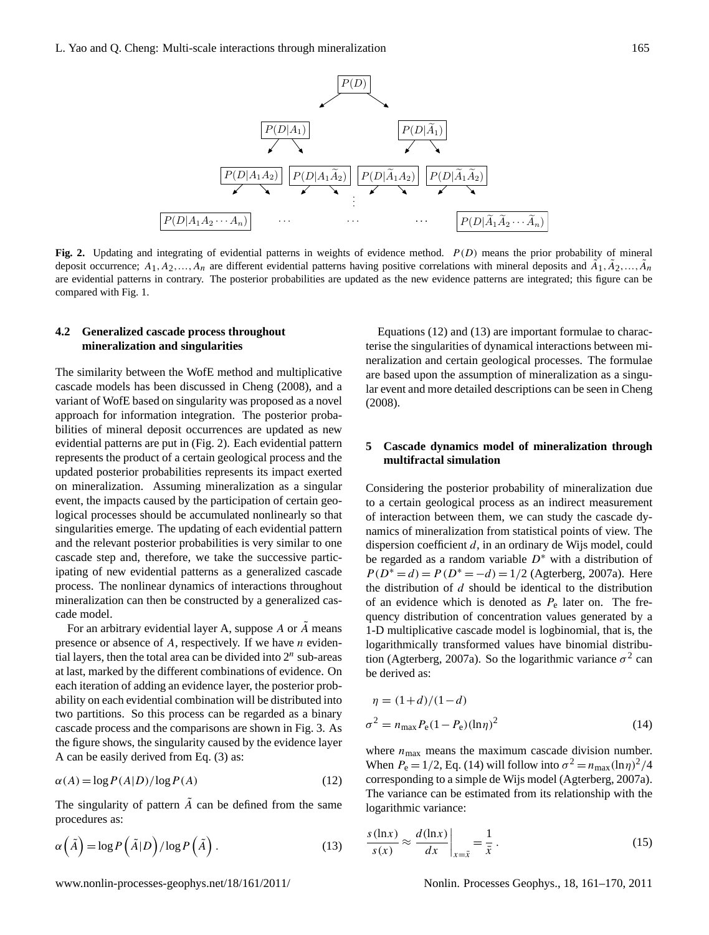

<span id="page-4-0"></span>**Fig. 2.** Updating and integrating of evidential patterns in weights of evidence method.  $P(D)$  means the prior probability of mineral deposit occurrence;  $A_1, A_2, ..., A_n$  are different evidential patterns having positive correlations with mineral deposits and  $\tilde{A_1}, \tilde{A_2}, ..., \tilde{A_n}$ are evidential patterns in contrary. The posterior probabilities are updated as the new evidence patterns are integrated; this figure can be compared with Fig. [1.](#page-2-0)

#### **4.2 Generalized cascade process throughout mineralization and singularities**

The similarity between the WofE method and multiplicative cascade models has been discussed in [Cheng](#page-8-8) [\(2008\)](#page-8-8), and a variant of WofE based on singularity was proposed as a novel approach for information integration. The posterior probabilities of mineral deposit occurrences are updated as new evidential patterns are put in (Fig. [2\)](#page-4-0). Each evidential pattern represents the product of a certain geological process and the updated posterior probabilities represents its impact exerted on mineralization. Assuming mineralization as a singular event, the impacts caused by the participation of certain geological processes should be accumulated nonlinearly so that singularities emerge. The updating of each evidential pattern and the relevant posterior probabilities is very similar to one cascade step and, therefore, we take the successive participating of new evidential patterns as a generalized cascade process. The nonlinear dynamics of interactions throughout mineralization can then be constructed by a generalized cascade model.

For an arbitrary evidential layer A, suppose  $A$  or  $\overline{A}$  means presence or absence of  $A$ , respectively. If we have  $n$  evidential layers, then the total area can be divided into  $2^n$  sub-areas at last, marked by the different combinations of evidence. On each iteration of adding an evidence layer, the posterior probability on each evidential combination will be distributed into two partitions. So this process can be regarded as a binary cascade process and the comparisons are shown in Fig. [3.](#page-5-0) As the figure shows, the singularity caused by the evidence layer A can be easily derived from Eq. [\(3\)](#page-1-1) as:

<span id="page-4-1"></span>
$$
\alpha(A) = \log P(A|D) / \log P(A) \tag{12}
$$

The singularity of pattern  $\tilde{A}$  can be defined from the same procedures as:

<span id="page-4-2"></span>
$$
\alpha\left(\tilde{A}\right) = \log P\left(\tilde{A}|D\right) / \log P\left(\tilde{A}\right). \tag{13}
$$

Equations [\(12\)](#page-4-1) and [\(13\)](#page-4-2) are important formulae to characterise the singularities of dynamical interactions between mineralization and certain geological processes. The formulae are based upon the assumption of mineralization as a singular event and more detailed descriptions can be seen in [Cheng](#page-8-8) [\(2008\)](#page-8-8).

### **5 Cascade dynamics model of mineralization through multifractal simulation**

Considering the posterior probability of mineralization due to a certain geological process as an indirect measurement of interaction between them, we can study the cascade dynamics of mineralization from statistical points of view. The dispersion coefficient  $d$ , in an ordinary de Wijs model, could be regarded as a random variable  $D^*$  with a distribution of  $P(D^* = d) = P(D^* = -d) = 1/2$  [\(Agterberg,](#page-8-24) [2007a\)](#page-8-24). Here the distribution of  $d$  should be identical to the distribution of an evidence which is denoted as  $P_e$  later on. The frequency distribution of concentration values generated by a 1-D multiplicative cascade model is logbinomial, that is, the logarithmically transformed values have binomial distribu-tion [\(Agterberg,](#page-8-24) [2007a\)](#page-8-24). So the logarithmic variance  $\sigma^2$  can be derived as:

<span id="page-4-3"></span>
$$
\eta = (1+d)/(1-d)
$$
  
\n
$$
\sigma^2 = n_{\text{max}} P_{\text{e}} (1 - P_{\text{e}}) (\ln \eta)^2
$$
\n(14)

where  $n_{\text{max}}$  means the maximum cascade division number. When  $P_e = 1/2$ , Eq. [\(14\)](#page-4-3) will follow into  $\sigma^2 = n_{\text{max}}(\ln \eta)^2/4$ corresponding to a simple de Wijs model [\(Agterberg,](#page-8-24) [2007a\)](#page-8-24). The variance can be estimated from its relationship with the logarithmic variance:

<span id="page-4-4"></span>
$$
\left. \frac{s(\ln x)}{s(x)} \approx \frac{d(\ln x)}{dx} \right|_{x=\bar{x}} = \frac{1}{\bar{x}} \,. \tag{15}
$$

www.nonlin-processes-geophys.net/18/161/2011/ Nonlin. Processes Geophys., 18, 161[–170,](#page-0-0) 2011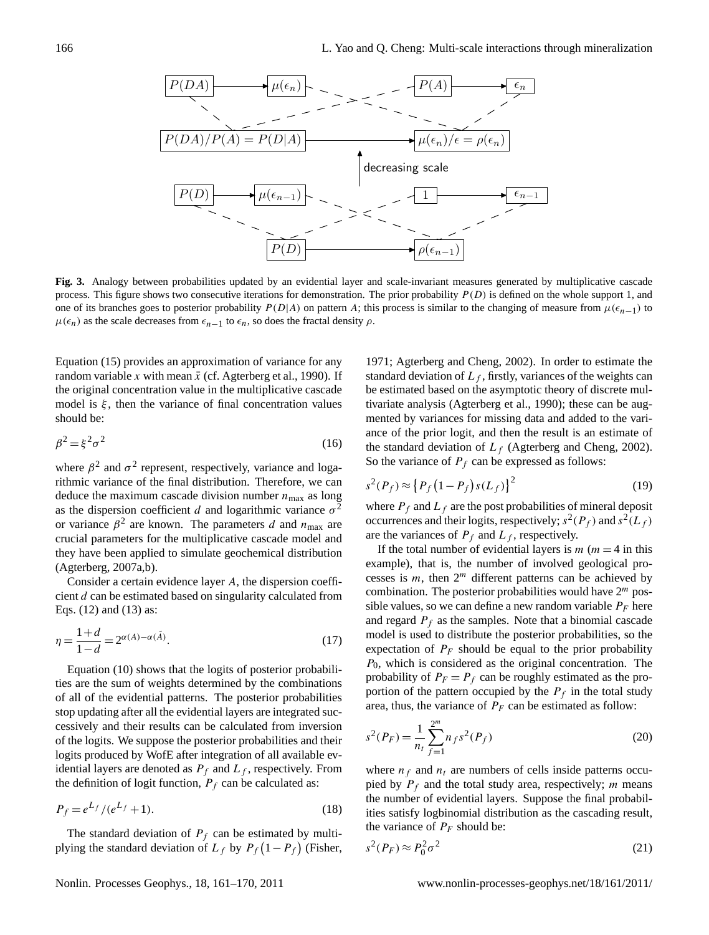

<span id="page-5-0"></span>**Fig. 3.** Analogy between probabilities updated by an evidential layer and scale-invariant measures generated by multiplicative cascade process. This figure shows two consecutive iterations for demonstration. The prior probability  $P(D)$  is defined on the whole support 1, and one of its branches goes to posterior probability  $P(D|A)$  on pattern A; this process is similar to the changing of measure from  $\mu(\epsilon_{n-1})$  to  $\mu(\epsilon_n)$  as the scale decreases from  $\epsilon_{n-1}$  to  $\epsilon_n$ , so does the fractal density  $\rho$ .

Equation [\(15\)](#page-4-4) provides an approximation of variance for any random variable x with mean  $\bar{x}$  (cf. [Agterberg et al.,](#page-8-27) [1990\)](#page-8-27). If the original concentration value in the multiplicative cascade model is  $\xi$ , then the variance of final concentration values should be:

$$
\beta^2 = \xi^2 \sigma^2 \tag{16}
$$

where  $\beta^2$  and  $\sigma^2$  represent, respectively, variance and logarithmic variance of the final distribution. Therefore, we can deduce the maximum cascade division number  $n_{\text{max}}$  as long as the dispersion coefficient d and logarithmic variance  $\sigma^2$ or variance  $\beta^2$  are known. The parameters d and  $n_{\text{max}}$  are crucial parameters for the multiplicative cascade model and they have been applied to simulate geochemical distribution [\(Agterberg,](#page-8-24) [2007a](#page-8-24)[,b\)](#page-8-28).

Consider a certain evidence layer A, the dispersion coefficient d can be estimated based on singularity calculated from Eqs. [\(12\)](#page-4-1) and [\(13\)](#page-4-2) as:

$$
\eta = \frac{1+d}{1-d} = 2^{\alpha(A) - \alpha(\tilde{A})}.
$$
\n(17)

Equation [\(10\)](#page-3-2) shows that the logits of posterior probabilities are the sum of weights determined by the combinations of all of the evidential patterns. The posterior probabilities stop updating after all the evidential layers are integrated successively and their results can be calculated from inversion of the logits. We suppose the posterior probabilities and their logits produced by WofE after integration of all available evidential layers are denoted as  $P_f$  and  $L_f$ , respectively. From the definition of logit function,  $P_f$  can be calculated as:

$$
P_f = e^{L_f} / (e^{L_f} + 1).
$$
\n(18)

The standard deviation of  $P_f$  can be estimated by multiplying the standard deviation of  $L_f$  by  $P_f(1-P_f)$  [\(Fisher,](#page-8-29)

[1971;](#page-8-29) [Agterberg and Cheng,](#page-8-30) [2002\)](#page-8-30). In order to estimate the standard deviation of  $L_f$ , firstly, variances of the weights can be estimated based on the asymptotic theory of discrete multivariate analysis [\(Agterberg et al.,](#page-8-27) [1990\)](#page-8-27); these can be augmented by variances for missing data and added to the variance of the prior logit, and then the result is an estimate of the standard deviation of  $L_f$  [\(Agterberg and Cheng,](#page-8-30) [2002\)](#page-8-30). So the variance of  $P_f$  can be expressed as follows:

$$
s^{2}(P_f) \approx \left\{ P_f \left( 1 - P_f \right) s(L_f) \right\}^{2} \tag{19}
$$

where  $P_f$  and  $L_f$  are the post probabilities of mineral deposit occurrences and their logits, respectively;  $s^2(P_f)$  and  $s^2(L_f)$ are the variances of  $P_f$  and  $L_f$ , respectively.

If the total number of evidential layers is  $m$  ( $m = 4$  in this example), that is, the number of involved geological processes is  $m$ , then  $2^m$  different patterns can be achieved by combination. The posterior probabilities would have  $2<sup>m</sup>$  possible values, so we can define a new random variable  $P_F$  here and regard  $P_f$  as the samples. Note that a binomial cascade model is used to distribute the posterior probabilities, so the expectation of  $P_F$  should be equal to the prior probability  $P_0$ , which is considered as the original concentration. The probability of  $P_F = P_f$  can be roughly estimated as the proportion of the pattern occupied by the  $P_f$  in the total study area, thus, the variance of  $P_F$  can be estimated as follow:

<span id="page-5-1"></span>
$$
s^{2}(P_F) = \frac{1}{n_t} \sum_{f=1}^{2^{m}} n_f s^{2}(P_f)
$$
 (20)

where  $n_f$  and  $n_t$  are numbers of cells inside patterns occupied by  $P_f$  and the total study area, respectively; m means the number of evidential layers. Suppose the final probabilities satisfy logbinomial distribution as the cascading result, the variance of  $P_F$  should be:

<span id="page-5-2"></span>
$$
s^2(P_F) \approx P_0^2 \sigma^2 \tag{21}
$$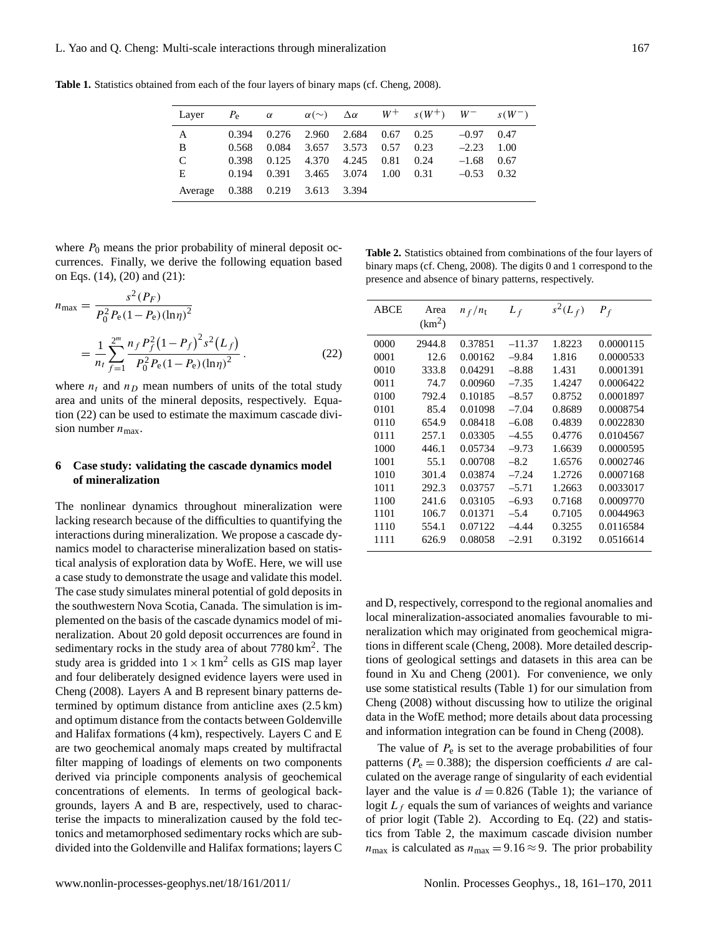<span id="page-6-1"></span>**Table 1.** Statistics obtained from each of the four layers of binary maps (cf. [Cheng,](#page-8-8) [2008\)](#page-8-8).

| Layer   | $P_e$ $\alpha$ |       |                         |      | $\alpha(\sim)$ $\Delta \alpha$ $W^+$ $s(W^+)$ $W^ s(W^-)$ |         |      |
|---------|----------------|-------|-------------------------|------|-----------------------------------------------------------|---------|------|
| A       | 0.394          | 0.276 | 2.960 2.684             | 0.67 | 0.25                                                      | $-0.97$ | 0.47 |
| B       | 0.568          | 0.084 | 3.657 3.573             | 0.57 | 0.23                                                      | $-2.23$ | 1.00 |
| C       | 0.398          |       | 0.125 4.370 4.245       | 0.81 | 0.24                                                      | $-1.68$ | 0.67 |
| E       | 0.194          |       | 0.391 3.465 3.074       | 1.00 | 0.31                                                      | $-0.53$ | 0.32 |
| Average |                |       | 0.388 0.219 3.613 3.394 |      |                                                           |         |      |

where  $P_0$  means the prior probability of mineral deposit occurrences. Finally, we derive the following equation based on Eqs. [\(14\)](#page-4-3), [\(20\)](#page-5-1) and [\(21\)](#page-5-2):

<span id="page-6-0"></span>
$$
n_{\max} = \frac{s^2 (P_F)}{P_0^2 P_e (1 - P_e) (\ln \eta)^2}
$$
  
= 
$$
\frac{1}{n_t} \sum_{f=1}^{2^m} \frac{n_f P_f^2 (1 - P_f)^2 s^2 (L_f)}{P_0^2 P_e (1 - P_e) (\ln \eta)^2}.
$$
 (22)

where  $n_t$  and  $n_D$  mean numbers of units of the total study area and units of the mineral deposits, respectively. Equation [\(22\)](#page-6-0) can be used to estimate the maximum cascade division number  $n_{\text{max}}$ .

## **6 Case study: validating the cascade dynamics model of mineralization**

The nonlinear dynamics throughout mineralization were lacking research because of the difficulties to quantifying the interactions during mineralization. We propose a cascade dynamics model to characterise mineralization based on statistical analysis of exploration data by WofE. Here, we will use a case study to demonstrate the usage and validate this model. The case study simulates mineral potential of gold deposits in the southwestern Nova Scotia, Canada. The simulation is implemented on the basis of the cascade dynamics model of mineralization. About 20 gold deposit occurrences are found in sedimentary rocks in the study area of about 7780 km<sup>2</sup>. The study area is gridded into  $1 \times 1$  km<sup>2</sup> cells as GIS map layer and four deliberately designed evidence layers were used in [Cheng](#page-8-8) [\(2008\)](#page-8-8). Layers A and B represent binary patterns determined by optimum distance from anticline axes (2.5 km) and optimum distance from the contacts between Goldenville and Halifax formations (4 km), respectively. Layers C and E are two geochemical anomaly maps created by multifractal filter mapping of loadings of elements on two components derived via principle components analysis of geochemical concentrations of elements. In terms of geological backgrounds, layers A and B are, respectively, used to characterise the impacts to mineralization caused by the fold tectonics and metamorphosed sedimentary rocks which are subdivided into the Goldenville and Halifax formations; layers C

<span id="page-6-2"></span>**Table 2.** Statistics obtained from combinations of the four layers of binary maps (cf. [Cheng,](#page-8-8) [2008\)](#page-8-8). The digits 0 and 1 correspond to the presence and absence of binary patterns, respectively.

| ABCE | Area<br>(km <sup>2</sup> ) | $n_f/n_t$ | $L_f$    | $s^2(L_f)$ | $P_f$     |
|------|----------------------------|-----------|----------|------------|-----------|
| 0000 | 2944.8                     | 0.37851   | $-11.37$ | 1.8223     | 0.0000115 |
| 0001 | 12.6                       | 0.00162   | $-9.84$  | 1.816      | 0.0000533 |
| 0010 | 333.8                      | 0.04291   | $-8.88$  | 1.431      | 0.0001391 |
| 0011 | 74.7                       | 0.00960   | $-7.35$  | 1.4247     | 0.0006422 |
| 0100 | 792.4                      | 0.10185   | $-8.57$  | 0.8752     | 0.0001897 |
| 0101 | 85.4                       | 0.01098   | $-7.04$  | 0.8689     | 0.0008754 |
| 0110 | 654.9                      | 0.08418   | $-6.08$  | 0.4839     | 0.0022830 |
| 0111 | 257.1                      | 0.03305   | $-4.55$  | 0.4776     | 0.0104567 |
| 1000 | 446.1                      | 0.05734   | $-9.73$  | 1.6639     | 0.0000595 |
| 1001 | 55.1                       | 0.00708   | $-8.2$   | 1.6576     | 0.0002746 |
| 1010 | 301.4                      | 0.03874   | $-7.24$  | 1.2726     | 0.0007168 |
| 1011 | 292.3                      | 0.03757   | $-5.71$  | 1.2663     | 0.0033017 |
| 1100 | 241.6                      | 0.03105   | $-6.93$  | 0.7168     | 0.0009770 |
| 1101 | 106.7                      | 0.01371   | $-5.4$   | 0.7105     | 0.0044963 |
| 1110 | 554.1                      | 0.07122   | $-4.44$  | 0.3255     | 0.0116584 |
| 1111 | 626.9                      | 0.08058   | $-2.91$  | 0.3192     | 0.0516614 |
|      |                            |           |          |            |           |

and D, respectively, correspond to the regional anomalies and local mineralization-associated anomalies favourable to mineralization which may originated from geochemical migrations in different scale [\(Cheng,](#page-8-8) [2008\)](#page-8-8). More detailed descriptions of geological settings and datasets in this area can be found in [Xu and Cheng](#page-9-16) [\(2001\)](#page-9-16). For convenience, we only use some statistical results (Table [1\)](#page-6-1) for our simulation from [Cheng](#page-8-8) [\(2008\)](#page-8-8) without discussing how to utilize the original data in the WofE method; more details about data processing and information integration can be found in [Cheng](#page-8-8) [\(2008\)](#page-8-8).

The value of  $P_e$  is set to the average probabilities of four patterns ( $P_e = 0.388$ ); the dispersion coefficients d are calculated on the average range of singularity of each evidential layer and the value is  $d = 0.826$  (Table [1\)](#page-6-1); the variance of logit  $L_f$  equals the sum of variances of weights and variance of prior logit (Table [2\)](#page-6-2). According to Eq. [\(22\)](#page-6-0) and statistics from Table [2,](#page-6-2) the maximum cascade division number  $n_{\text{max}}$  is calculated as  $n_{\text{max}} = 9.16 \approx 9$ . The prior probability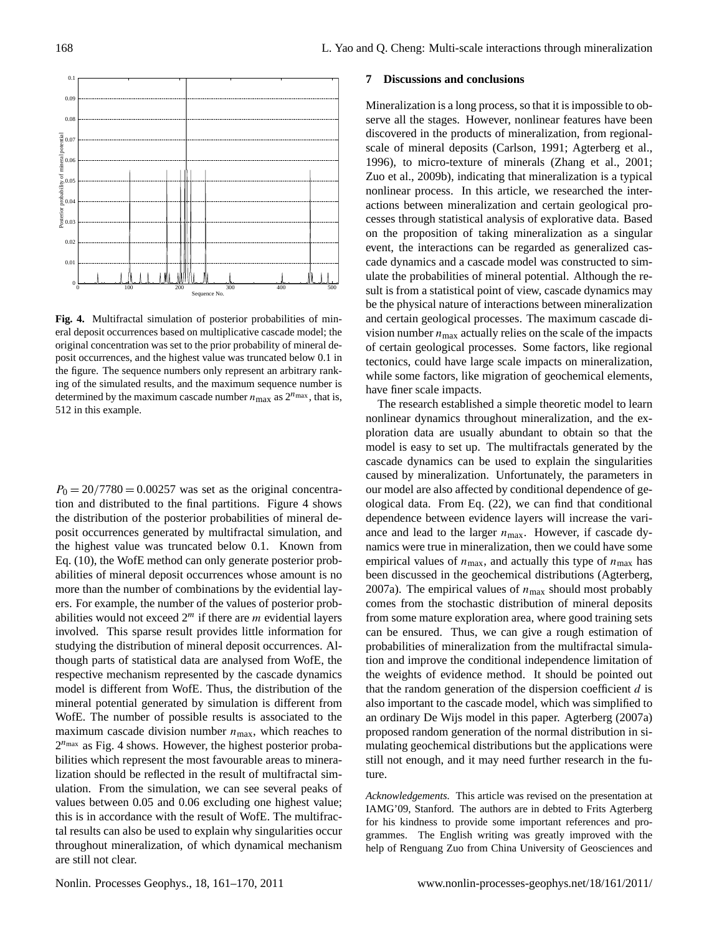

<span id="page-7-0"></span>**Fig. 4.** Multifractal simulation of posterior probabilities of mineral deposit occurrences based on multiplicative cascade model; the original concentration was set to the prior probability of mineral deposit occurrences, and the highest value was truncated below 0.1 in the figure. The sequence numbers only represent an arbitrary ranking of the simulated results, and the maximum sequence number is determined by the maximum cascade number  $n_{\text{max}}$  as  $2^{n_{\text{max}}}$ , that is, 512 in this example.

 $P_0 = 20/7780 = 0.00257$  was set as the original concentration and distributed to the final partitions. Figure [4](#page-7-0) shows the distribution of the posterior probabilities of mineral deposit occurrences generated by multifractal simulation, and the highest value was truncated below 0.1. Known from Eq. [\(10\)](#page-3-2), the WofE method can only generate posterior probabilities of mineral deposit occurrences whose amount is no more than the number of combinations by the evidential layers. For example, the number of the values of posterior probabilities would not exceed  $2<sup>m</sup>$  if there are m evidential layers involved. This sparse result provides little information for studying the distribution of mineral deposit occurrences. Although parts of statistical data are analysed from WofE, the respective mechanism represented by the cascade dynamics model is different from WofE. Thus, the distribution of the mineral potential generated by simulation is different from WofE. The number of possible results is associated to the maximum cascade division number  $n_{\text{max}}$ , which reaches to  $2^{n_{\text{max}}}$  as Fig. [4](#page-7-0) shows. However, the highest posterior probabilities which represent the most favourable areas to mineralization should be reflected in the result of multifractal simulation. From the simulation, we can see several peaks of values between 0.05 and 0.06 excluding one highest value; this is in accordance with the result of WofE. The multifractal results can also be used to explain why singularities occur throughout mineralization, of which dynamical mechanism are still not clear.

#### **7 Discussions and conclusions**

Mineralization is a long process, so that it is impossible to observe all the stages. However, nonlinear features have been discovered in the products of mineralization, from regionalscale of mineral deposits [\(Carlson,](#page-8-9) [1991;](#page-8-9) [Agterberg et al.,](#page-8-10) [1996\)](#page-8-10), to micro-texture of minerals [\(Zhang et al.,](#page-9-17) [2001;](#page-9-17) [Zuo et al.,](#page-9-18) [2009b\)](#page-9-18), indicating that mineralization is a typical nonlinear process. In this article, we researched the interactions between mineralization and certain geological processes through statistical analysis of explorative data. Based on the proposition of taking mineralization as a singular event, the interactions can be regarded as generalized cascade dynamics and a cascade model was constructed to simulate the probabilities of mineral potential. Although the result is from a statistical point of view, cascade dynamics may be the physical nature of interactions between mineralization and certain geological processes. The maximum cascade division number  $n_{\text{max}}$  actually relies on the scale of the impacts of certain geological processes. Some factors, like regional tectonics, could have large scale impacts on mineralization, while some factors, like migration of geochemical elements, have finer scale impacts.

The research established a simple theoretic model to learn nonlinear dynamics throughout mineralization, and the exploration data are usually abundant to obtain so that the model is easy to set up. The multifractals generated by the cascade dynamics can be used to explain the singularities caused by mineralization. Unfortunately, the parameters in our model are also affected by conditional dependence of geological data. From Eq. [\(22\)](#page-6-0), we can find that conditional dependence between evidence layers will increase the variance and lead to the larger  $n_{\text{max}}$ . However, if cascade dynamics were true in mineralization, then we could have some empirical values of  $n_{\text{max}}$ , and actually this type of  $n_{\text{max}}$  has been discussed in the geochemical distributions [\(Agterberg,](#page-8-24) [2007a\)](#page-8-24). The empirical values of  $n_{\text{max}}$  should most probably comes from the stochastic distribution of mineral deposits from some mature exploration area, where good training sets can be ensured. Thus, we can give a rough estimation of probabilities of mineralization from the multifractal simulation and improve the conditional independence limitation of the weights of evidence method. It should be pointed out that the random generation of the dispersion coefficient  $d$  is also important to the cascade model, which was simplified to an ordinary De Wijs model in this paper. [Agterberg](#page-8-24) [\(2007a\)](#page-8-24) proposed random generation of the normal distribution in simulating geochemical distributions but the applications were still not enough, and it may need further research in the future.

*Acknowledgements.* This article was revised on the presentation at IAMG'09, Stanford. The authors are in debted to Frits Agterberg for his kindness to provide some important references and programmes. The English writing was greatly improved with the help of Renguang Zuo from China University of Geosciences and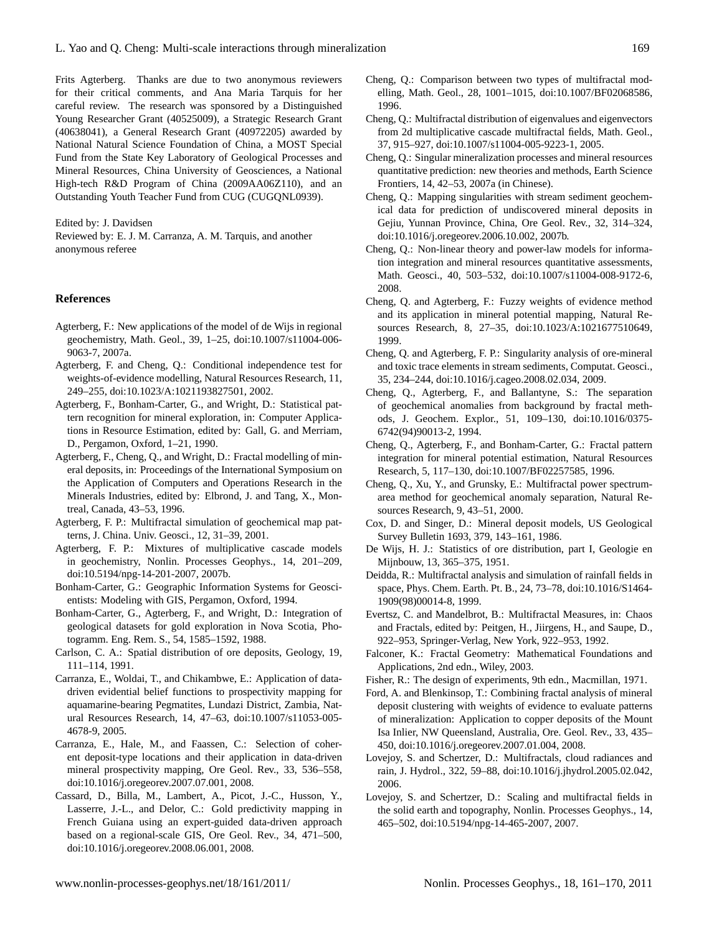Frits Agterberg. Thanks are due to two anonymous reviewers for their critical comments, and Ana Maria Tarquis for her careful review. The research was sponsored by a Distinguished Young Researcher Grant (40525009), a Strategic Research Grant (40638041), a General Research Grant (40972205) awarded by National Natural Science Foundation of China, a MOST Special Fund from the State Key Laboratory of Geological Processes and Mineral Resources, China University of Geosciences, a National High-tech R&D Program of China (2009AA06Z110), and an Outstanding Youth Teacher Fund from CUG (CUGQNL0939).

Edited by: J. Davidsen

Reviewed by: E. J. M. Carranza, A. M. Tarquis, and another anonymous referee

#### **References**

- <span id="page-8-24"></span>Agterberg, F.: New applications of the model of de Wijs in regional geochemistry, Math. Geol., 39, 1–25, [doi:10.1007/s11004-006-](http://dx.doi.org/10.1007/s11004-006-9063-7) [9063-7,](http://dx.doi.org/10.1007/s11004-006-9063-7) 2007a.
- <span id="page-8-30"></span>Agterberg, F. and Cheng, Q.: Conditional independence test for weights-of-evidence modelling, Natural Resources Research, 11, 249–255, [doi:10.1023/A:1021193827501,](http://dx.doi.org/10.1023/A:1021193827501) 2002.
- <span id="page-8-27"></span>Agterberg, F., Bonham-Carter, G., and Wright, D.: Statistical pattern recognition for mineral exploration, in: Computer Applications in Resource Estimation, edited by: Gall, G. and Merriam, D., Pergamon, Oxford, 1–21, 1990.
- <span id="page-8-10"></span>Agterberg, F., Cheng, Q., and Wright, D.: Fractal modelling of mineral deposits, in: Proceedings of the International Symposium on the Application of Computers and Operations Research in the Minerals Industries, edited by: Elbrond, J. and Tang, X., Montreal, Canada, 43–53, 1996.
- <span id="page-8-23"></span>Agterberg, F. P.: Multifractal simulation of geochemical map patterns, J. China. Univ. Geosci., 12, 31–39, 2001.
- <span id="page-8-28"></span>Agterberg, F. P.: Mixtures of multiplicative cascade models in geochemistry, Nonlin. Processes Geophys., 14, 201–209, [doi:10.5194/npg-14-201-2007,](http://dx.doi.org/10.5194/npg-14-201-2007) 2007b.
- <span id="page-8-26"></span>Bonham-Carter, G.: Geographic Information Systems for Geoscientists: Modeling with GIS, Pergamon, Oxford, 1994.
- <span id="page-8-1"></span>Bonham-Carter, G., Agterberg, F., and Wright, D.: Integration of geological datasets for gold exploration in Nova Scotia, Photogramm. Eng. Rem. S., 54, 1585–1592, 1988.
- <span id="page-8-9"></span>Carlson, C. A.: Spatial distribution of ore deposits, Geology, 19, 111–114, 1991.
- <span id="page-8-3"></span>Carranza, E., Woldai, T., and Chikambwe, E.: Application of datadriven evidential belief functions to prospectivity mapping for aquamarine-bearing Pegmatites, Lundazi District, Zambia, Natural Resources Research, 14, 47–63, [doi:10.1007/s11053-005-](http://dx.doi.org/10.1007/s11053-005-4678-9) [4678-9,](http://dx.doi.org/10.1007/s11053-005-4678-9) 2005.
- <span id="page-8-4"></span>Carranza, E., Hale, M., and Faassen, C.: Selection of coherent deposit-type locations and their application in data-driven mineral prospectivity mapping, Ore Geol. Rev., 33, 536–558, [doi:10.1016/j.oregeorev.2007.07.001,](http://dx.doi.org/10.1016/j.oregeorev.2007.07.001) 2008.
- <span id="page-8-5"></span>Cassard, D., Billa, M., Lambert, A., Picot, J.-C., Husson, Y., Lasserre, J.-L., and Delor, C.: Gold predictivity mapping in French Guiana using an expert-guided data-driven approach based on a regional-scale GIS, Ore Geol. Rev., 34, 471–500, [doi:10.1016/j.oregeorev.2008.06.001,](http://dx.doi.org/10.1016/j.oregeorev.2008.06.001) 2008.
- <span id="page-8-17"></span>Cheng, Q.: Comparison between two types of multifractal modelling, Math. Geol., 28, 1001–1015, [doi:10.1007/BF02068586,](http://dx.doi.org/10.1007/BF02068586) 1996.
- <span id="page-8-25"></span>Cheng, Q.: Multifractal distribution of eigenvalues and eigenvectors from 2d multiplicative cascade multifractal fields, Math. Geol., 37, 915–927, [doi:10.1007/s11004-005-9223-1,](http://dx.doi.org/10.1007/s11004-005-9223-1) 2005.
- <span id="page-8-7"></span>Cheng, Q.: Singular mineralization processes and mineral resources quantitative prediction: new theories and methods, Earth Science Frontiers, 14, 42–53, 2007a (in Chinese).
- <span id="page-8-6"></span>Cheng, Q.: Mapping singularities with stream sediment geochemical data for prediction of undiscovered mineral deposits in Gejiu, Yunnan Province, China, Ore Geol. Rev., 32, 314–324, [doi:10.1016/j.oregeorev.2006.10.002,](http://dx.doi.org/10.1016/j.oregeorev.2006.10.002) 2007b.
- <span id="page-8-8"></span>Cheng, Q.: Non-linear theory and power-law models for information integration and mineral resources quantitative assessments, Math. Geosci., 40, 503–532, [doi:10.1007/s11004-008-9172-6,](http://dx.doi.org/10.1007/s11004-008-9172-6) 2008.
- <span id="page-8-2"></span>Cheng, Q. and Agterberg, F.: Fuzzy weights of evidence method and its application in mineral potential mapping, Natural Resources Research, 8, 27–35, [doi:10.1023/A:1021677510649,](http://dx.doi.org/10.1023/A:1021677510649) 1999.
- <span id="page-8-15"></span>Cheng, Q. and Agterberg, F. P.: Singularity analysis of ore-mineral and toxic trace elements in stream sediments, Computat. Geosci., 35, 234–244, [doi:10.1016/j.cageo.2008.02.034,](http://dx.doi.org/10.1016/j.cageo.2008.02.034) 2009.
- <span id="page-8-13"></span>Cheng, Q., Agterberg, F., and Ballantyne, S.: The separation of geochemical anomalies from background by fractal methods, J. Geochem. Explor., 51, 109–130, [doi:10.1016/0375-](http://dx.doi.org/10.1016/0375-6742(94)90013-2) [6742\(94\)90013-2,](http://dx.doi.org/10.1016/0375-6742(94)90013-2) 1994.
- <span id="page-8-11"></span>Cheng, Q., Agterberg, F., and Bonham-Carter, G.: Fractal pattern integration for mineral potential estimation, Natural Resources Research, 5, 117–130, [doi:10.1007/BF02257585,](http://dx.doi.org/10.1007/BF02257585) 1996.
- <span id="page-8-14"></span>Cheng, Q., Xu, Y., and Grunsky, E.: Multifractal power spectrumarea method for geochemical anomaly separation, Natural Resources Research, 9, 43–51, 2000.
- <span id="page-8-0"></span>Cox, D. and Singer, D.: Mineral deposit models, US Geological Survey Bulletin 1693, 379, 143–161, 1986.
- <span id="page-8-20"></span>De Wijs, H. J.: Statistics of ore distribution, part I, Geologie en Mijnbouw, 13, 365–375, 1951.
- <span id="page-8-21"></span>Deidda, R.: Multifractal analysis and simulation of rainfall fields in space, Phys. Chem. Earth. Pt. B., 24, 73–78, [doi:10.1016/S1464-](http://dx.doi.org/10.1016/S1464-1909(98)00014-8) [1909\(98\)00014-8,](http://dx.doi.org/10.1016/S1464-1909(98)00014-8) 1999.
- <span id="page-8-16"></span>Evertsz, C. and Mandelbrot, B.: Multifractal Measures, in: Chaos and Fractals, edited by: Peitgen, H., Jiirgens, H., and Saupe, D., 922–953, Springer-Verlag, New York, 922–953, 1992.
- <span id="page-8-18"></span>Falconer, K.: Fractal Geometry: Mathematical Foundations and Applications, 2nd edn., Wiley, 2003.
- <span id="page-8-29"></span>Fisher, R.: The design of experiments, 9th edn., Macmillan, 1971.
- <span id="page-8-12"></span>Ford, A. and Blenkinsop, T.: Combining fractal analysis of mineral deposit clustering with weights of evidence to evaluate patterns of mineralization: Application to copper deposits of the Mount Isa Inlier, NW Queensland, Australia, Ore. Geol. Rev., 33, 435– 450, [doi:10.1016/j.oregeorev.2007.01.004,](http://dx.doi.org/10.1016/j.oregeorev.2007.01.004) 2008.
- <span id="page-8-22"></span>Lovejoy, S. and Schertzer, D.: Multifractals, cloud radiances and rain, J. Hydrol., 322, 59–88, [doi:10.1016/j.jhydrol.2005.02.042,](http://dx.doi.org/10.1016/j.jhydrol.2005.02.042) 2006.
- <span id="page-8-19"></span>Lovejoy, S. and Schertzer, D.: Scaling and multifractal fields in the solid earth and topography, Nonlin. Processes Geophys., 14, 465–502, [doi:10.5194/npg-14-465-2007,](http://dx.doi.org/10.5194/npg-14-465-2007) 2007.